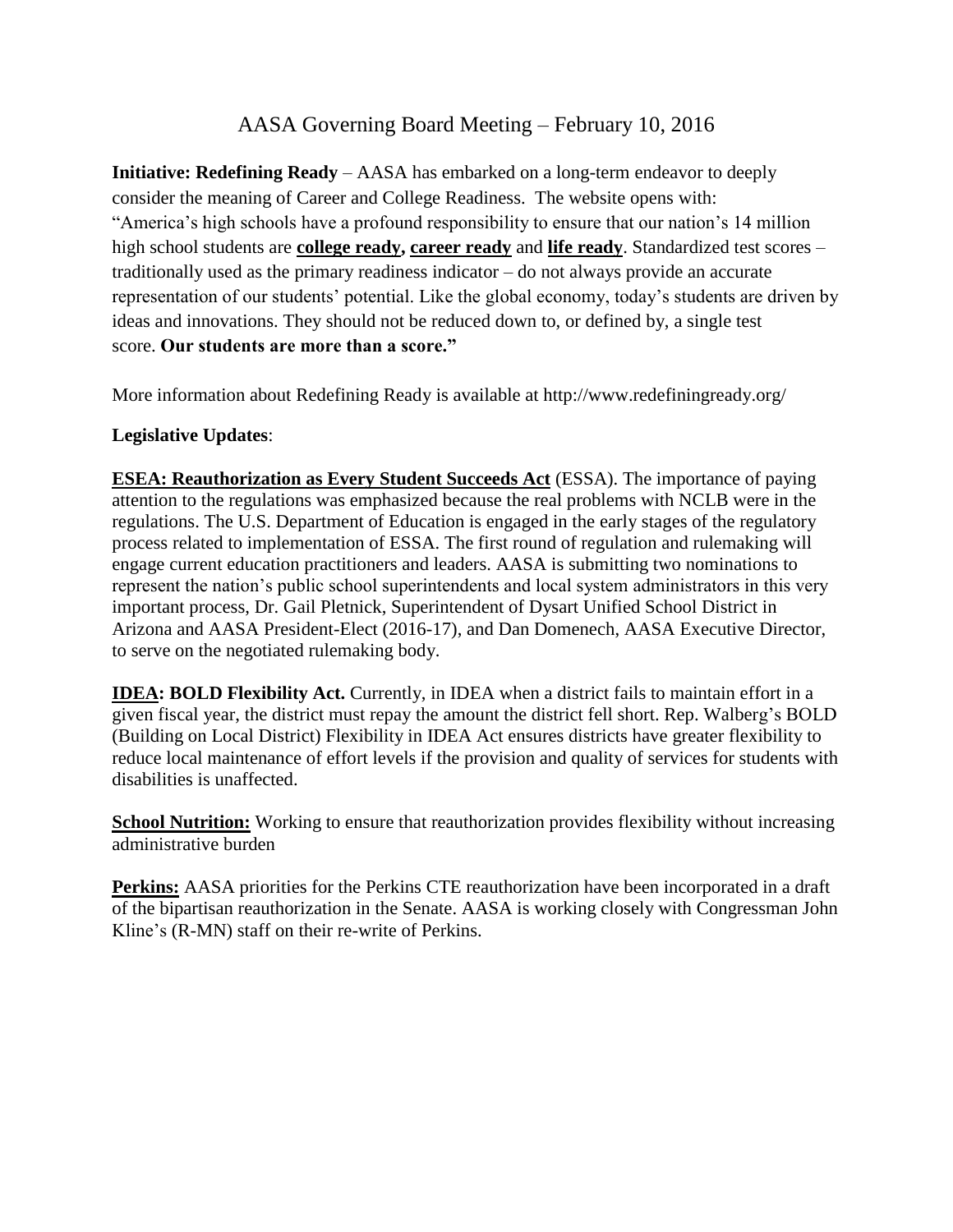## AASA Governing Board Meeting – February 10, 2016

**Initiative: Redefining Ready** – AASA has embarked on a long-term endeavor to deeply consider the meaning of Career and College Readiness. The website opens with: "America's high schools have a profound responsibility to ensure that our nation's 14 million high school students are **[college ready,](http://www.redefiningready.org/college-ready) [career ready](http://www.redefiningready.org/career-ready)** and **[life ready](http://www.redefiningready.org/life-ready)**. Standardized test scores – traditionally used as the primary readiness indicator – do not always provide an accurate representation of our students' potential. Like the global economy, today's students are driven by ideas and innovations. They should not be reduced down to, or defined by, a single test score. **Our students are more than a score."**

More information about Redefining Ready is available at http://www.redefiningready.org/

### **Legislative Updates**:

**ESEA: Reauthorization as Every Student Succeeds Act** (ESSA). The importance of paying attention to the regulations was emphasized because the real problems with NCLB were in the regulations. The U.S. Department of Education is engaged in the early stages of the regulatory process related to implementation of ESSA. The first round of regulation and rulemaking will engage current education practitioners and leaders. AASA is submitting two nominations to represent the nation's public school superintendents and local system administrators in this very important process, Dr. Gail Pletnick, Superintendent of Dysart Unified School District in Arizona and AASA President-Elect (2016-17), and Dan Domenech, AASA Executive Director, to serve on the negotiated rulemaking body.

**IDEA: BOLD Flexibility Act.** Currently, in IDEA when a district fails to maintain effort in a given fiscal year, the district must repay the amount the district fell short. Rep. Walberg's BOLD (Building on Local District) Flexibility in IDEA Act ensures districts have greater flexibility to reduce local maintenance of effort levels if the provision and quality of services for students with disabilities is unaffected.

**School Nutrition:** Working to ensure that reauthorization provides flexibility without increasing administrative burden

**Perkins:** AASA priorities for the Perkins CTE reauthorization have been incorporated in a draft of the bipartisan reauthorization in the Senate. AASA is working closely with Congressman John Kline's (R-MN) staff on their re-write of Perkins.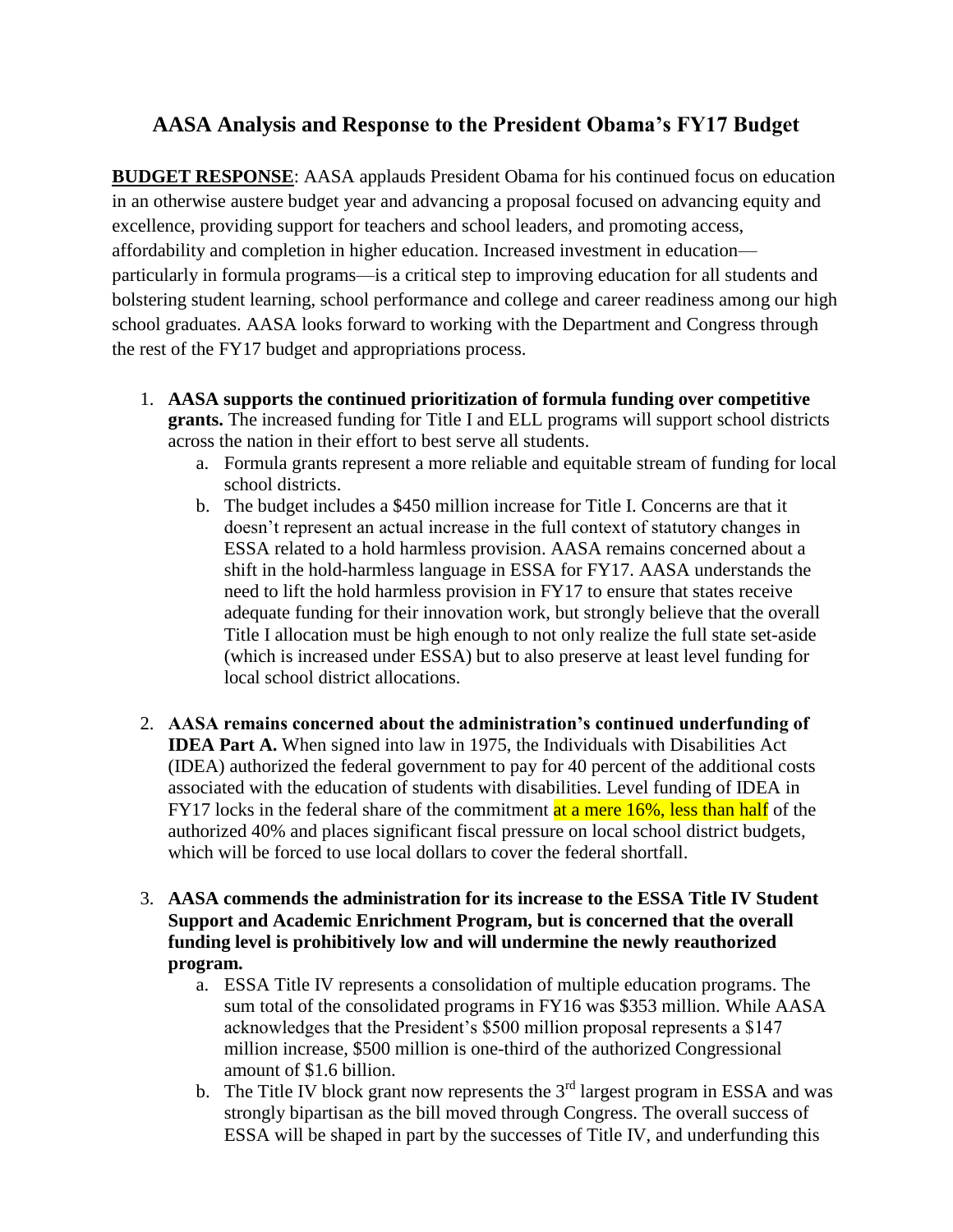# **AASA Analysis and Response to the President Obama's FY17 Budget**

**BUDGET RESPONSE**: AASA applauds President Obama for his continued focus on education in an otherwise austere budget year and advancing a proposal focused on advancing equity and excellence, providing support for teachers and school leaders, and promoting access, affordability and completion in higher education. Increased investment in education particularly in formula programs—is a critical step to improving education for all students and bolstering student learning, school performance and college and career readiness among our high school graduates. AASA looks forward to working with the Department and Congress through the rest of the FY17 budget and appropriations process.

- 1. **AASA supports the continued prioritization of formula funding over competitive grants.** The increased funding for Title I and ELL programs will support school districts across the nation in their effort to best serve all students.
	- a. Formula grants represent a more reliable and equitable stream of funding for local school districts.
	- b. The budget includes a \$450 million increase for Title I. Concerns are that it doesn't represent an actual increase in the full context of statutory changes in ESSA related to a hold harmless provision. AASA remains concerned about a shift in the hold-harmless language in ESSA for FY17. AASA understands the need to lift the hold harmless provision in FY17 to ensure that states receive adequate funding for their innovation work, but strongly believe that the overall Title I allocation must be high enough to not only realize the full state set-aside (which is increased under ESSA) but to also preserve at least level funding for local school district allocations.
- 2. **AASA remains concerned about the administration's continued underfunding of IDEA Part A.** When signed into law in 1975, the Individuals with Disabilities Act (IDEA) authorized the federal government to pay for 40 percent of the additional costs associated with the education of students with disabilities. Level funding of IDEA in FY17 locks in the federal share of the commitment at a mere 16%, less than half of the authorized 40% and places significant fiscal pressure on local school district budgets, which will be forced to use local dollars to cover the federal shortfall.
- 3. **AASA commends the administration for its increase to the ESSA Title IV Student Support and Academic Enrichment Program, but is concerned that the overall funding level is prohibitively low and will undermine the newly reauthorized program.**
	- a. ESSA Title IV represents a consolidation of multiple education programs. The sum total of the consolidated programs in FY16 was \$353 million. While AASA acknowledges that the President's \$500 million proposal represents a \$147 million increase, \$500 million is one-third of the authorized Congressional amount of \$1.6 billion.
	- b. The Title IV block grant now represents the  $3<sup>rd</sup>$  largest program in ESSA and was strongly bipartisan as the bill moved through Congress. The overall success of ESSA will be shaped in part by the successes of Title IV, and underfunding this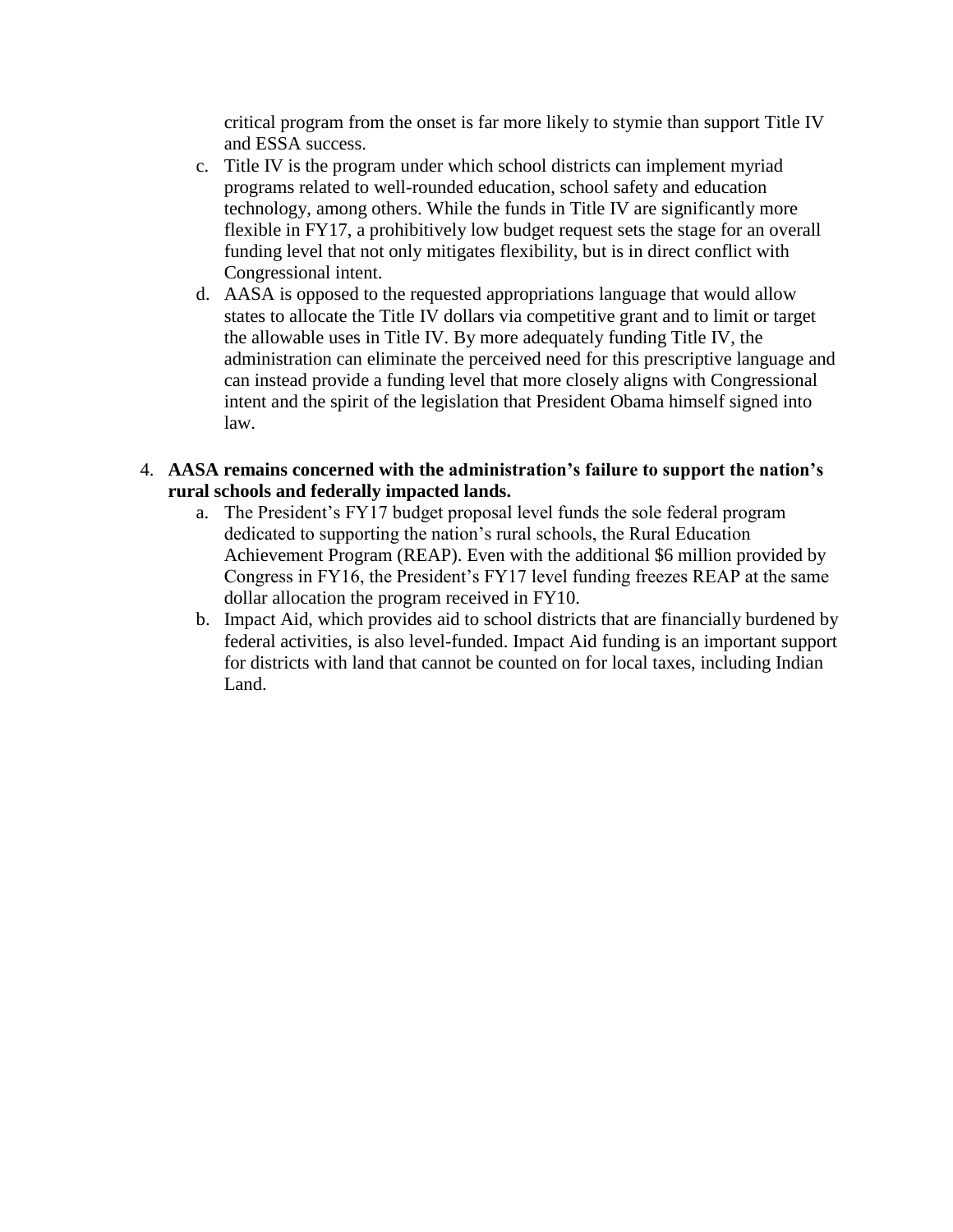critical program from the onset is far more likely to stymie than support Title IV and ESSA success.

- c. Title IV is the program under which school districts can implement myriad programs related to well-rounded education, school safety and education technology, among others. While the funds in Title IV are significantly more flexible in FY17, a prohibitively low budget request sets the stage for an overall funding level that not only mitigates flexibility, but is in direct conflict with Congressional intent.
- d. AASA is opposed to the requested appropriations language that would allow states to allocate the Title IV dollars via competitive grant and to limit or target the allowable uses in Title IV. By more adequately funding Title IV, the administration can eliminate the perceived need for this prescriptive language and can instead provide a funding level that more closely aligns with Congressional intent and the spirit of the legislation that President Obama himself signed into law.
- 4. **AASA remains concerned with the administration's failure to support the nation's rural schools and federally impacted lands.**
	- a. The President's FY17 budget proposal level funds the sole federal program dedicated to supporting the nation's rural schools, the Rural Education Achievement Program (REAP). Even with the additional \$6 million provided by Congress in FY16, the President's FY17 level funding freezes REAP at the same dollar allocation the program received in FY10.
	- b. Impact Aid, which provides aid to school districts that are financially burdened by federal activities, is also level-funded. Impact Aid funding is an important support for districts with land that cannot be counted on for local taxes, including Indian Land.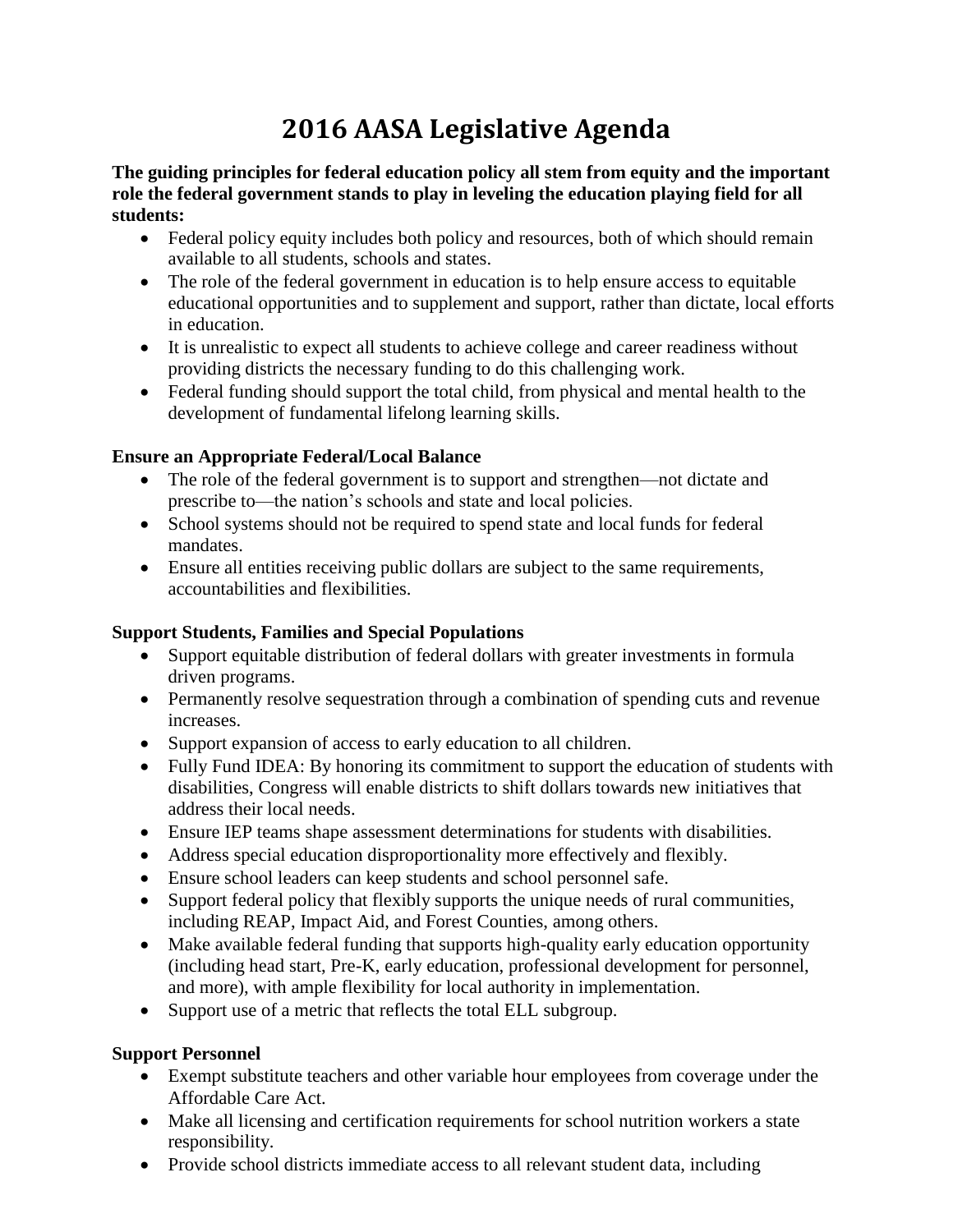# **2016 AASA Legislative Agenda**

**The guiding principles for federal education policy all stem from equity and the important role the federal government stands to play in leveling the education playing field for all students:** 

- Federal policy equity includes both policy and resources, both of which should remain available to all students, schools and states.
- The role of the federal government in education is to help ensure access to equitable educational opportunities and to supplement and support, rather than dictate, local efforts in education.
- It is unrealistic to expect all students to achieve college and career readiness without providing districts the necessary funding to do this challenging work.
- Federal funding should support the total child, from physical and mental health to the development of fundamental lifelong learning skills.

### **Ensure an Appropriate Federal/Local Balance**

- The role of the federal government is to support and strengthen—not dictate and prescribe to—the nation's schools and state and local policies.
- School systems should not be required to spend state and local funds for federal mandates.
- Ensure all entities receiving public dollars are subject to the same requirements, accountabilities and flexibilities.

## **Support Students, Families and Special Populations**

- Support equitable distribution of federal dollars with greater investments in formula driven programs.
- Permanently resolve sequestration through a combination of spending cuts and revenue increases.
- Support expansion of access to early education to all children.
- Fully Fund IDEA: By honoring its commitment to support the education of students with disabilities, Congress will enable districts to shift dollars towards new initiatives that address their local needs.
- Ensure IEP teams shape assessment determinations for students with disabilities.
- Address special education disproportionality more effectively and flexibly.
- Ensure school leaders can keep students and school personnel safe.
- Support federal policy that flexibly supports the unique needs of rural communities, including REAP, Impact Aid, and Forest Counties, among others.
- Make available federal funding that supports high-quality early education opportunity (including head start, Pre-K, early education, professional development for personnel, and more), with ample flexibility for local authority in implementation.
- Support use of a metric that reflects the total ELL subgroup.

## **Support Personnel**

- Exempt substitute teachers and other variable hour employees from coverage under the Affordable Care Act.
- Make all licensing and certification requirements for school nutrition workers a state responsibility.
- Provide school districts immediate access to all relevant student data, including